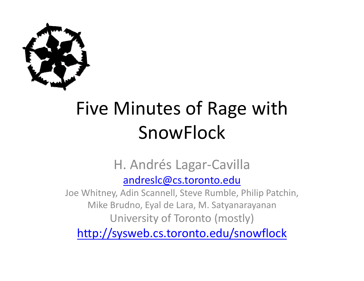

# Five Minutes of Rage with SnowFlock

#### H. Andrés Lagar‐Cavilla

#### andreslc@cs.toronto.edu

Joe Whitney, Adin Scannell, Steve Rumble, Philip Patchin, Mike Brudno, Eyal de Lara, M. Satyanarayanan University of Toronto (mostly)

http://sysweb.cs.toronto.edu/snowflock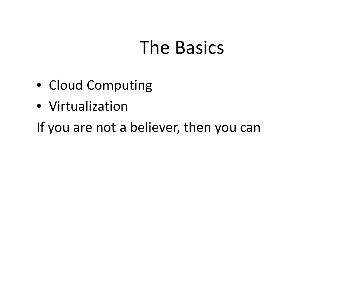#### The Basics

- Cloud Computing
- Virtualization

If you are not a believer, then you can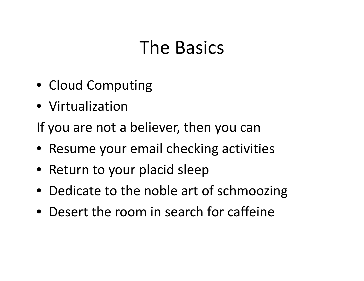### The Basics

- Cloud Computing
- Virtualization

If you are not a believer, then you can

- Resume your email checking activities
- Return to your placid sleep
- Dedicate to the noble art of schmoozing
- Desert the room in search for caffeine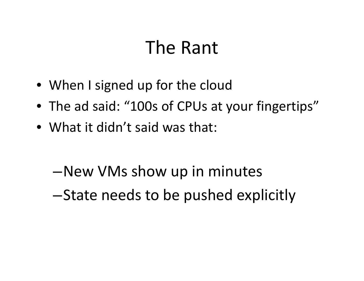#### The Rant

- When I signed up for the cloud
- The ad said: "100s of CPUs at your fingertips"
- What it didn't said was that:
	- –New VMs show up in minutes
	- –State needs to be pushed explicitly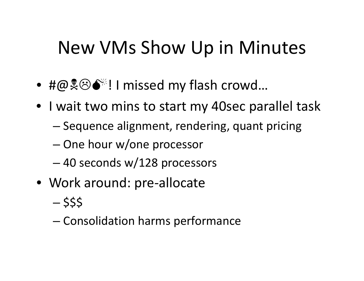#### New VMs Show Up in Minutes

- #@1/0! <sup>I</sup> missed my flash crowd…
- I wait two mins to start my 40sec parallel task
	- Sequence alignment, rendering, quant pricing
	- –One hour w/one processor
	- –40 seconds w/128 processors
- Work around: pre‐allocate
	- –- \$\$\$
	- –Consolidation harms performance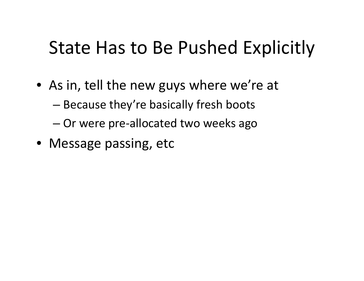## State Has to Be Pushed Explicitly

- $\bullet\,$  As in, tell the new guys where we're at
	- –Because they're basically fresh boots
	- –Or were pre‐allocated two weeks ago
- Message passing, etc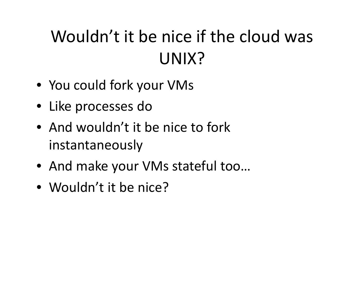### Wouldn't it be nice if the cloud was UNIX?

- You could fork your VMs
- Like processes do
- And wouldn't it be nice to fork instantaneously
- And make your VMs stateful too…
- Wouldn't it be nice?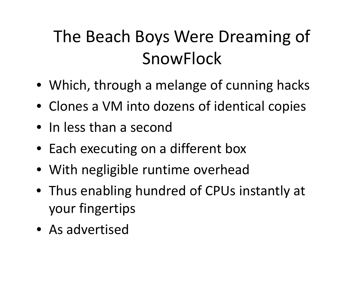## The Beach Boys Were Dreaming of SnowFlock

- Which, through <sup>a</sup> melange of cunning hacks
- Clones a VM into dozens of identical copies
- In less than <sup>a</sup> second
- Each executing on <sup>a</sup> different box
- With negligible runtime overhead
- Thus enabling hundred of CPUs instantly at your fingertips
- As advertised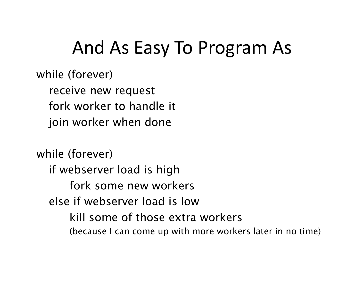#### And As Easy To Program As

while (forever)

receive new request

fork worker to handle it

join worker when done

while (forever) if webserver load is high fork some new workerselse if webserver load is lowkill some of those extra workers(because I can come up with more workers later in no time)